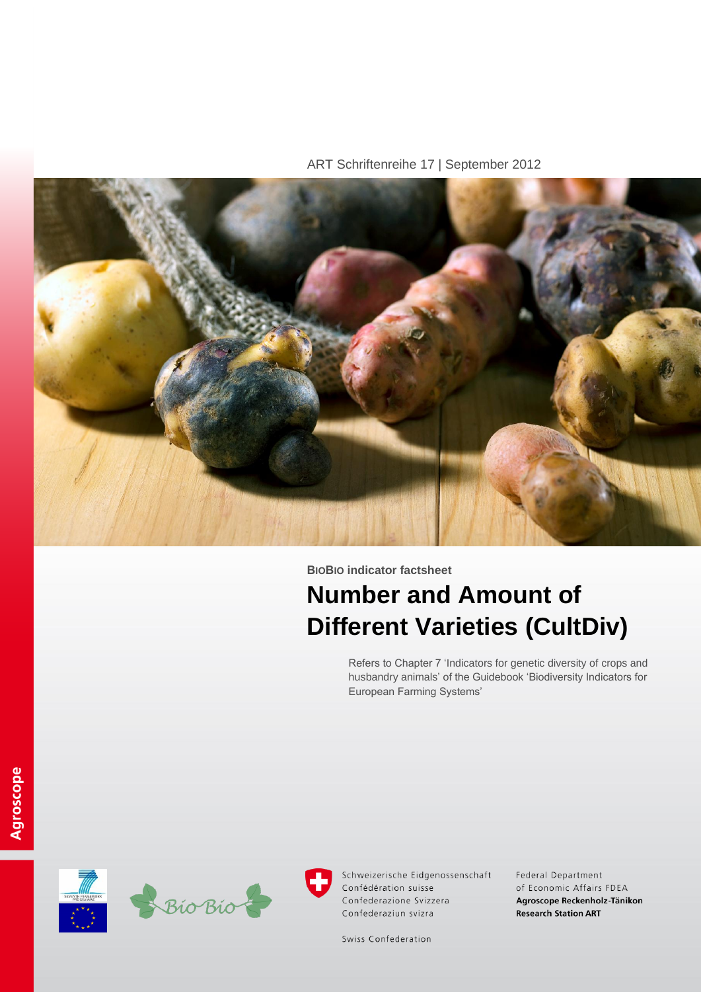ART Schriftenreihe 17 | September 2012



**BIOBIO indicator factsheet**

# **Number and Amount of Different Varieties (CultDiv)**

Refers to Chapter 7 'Indicators for genetic diversity of crops and husbandry animals' of the Guidebook 'Biodiversity Indicators for European Farming Systems'





Schweizerische Eidgenossenschaft Confédération suisse Confederazione Svizzera Confederaziun svizra

Federal Department of Economic Affairs FDEA Agroscope Reckenholz-Tänikon **Research Station ART** 

Swiss Confederation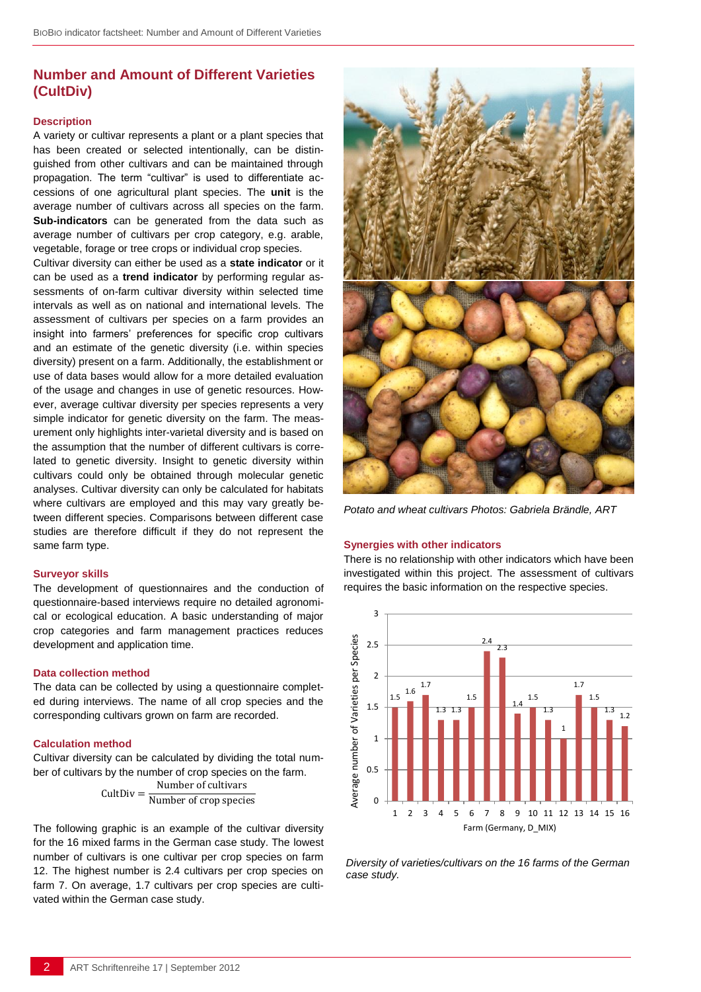# **Number and Amount of Different Varieties (CultDiv)**

#### **Description**

A variety or cultivar represents a plant or a plant species that has been created or selected intentionally, can be distinguished from other cultivars and can be maintained through propagation. The term "cultivar" is used to differentiate accessions of one agricultural plant species. The **unit** is the average number of cultivars across all species on the farm. **Sub-indicators** can be generated from the data such as average number of cultivars per crop category, e.g. arable, vegetable, forage or tree crops or individual crop species.

Cultivar diversity can either be used as a **state indicator** or it can be used as a **trend indicator** by performing regular assessments of on-farm cultivar diversity within selected time intervals as well as on national and international levels. The assessment of cultivars per species on a farm provides an insight into farmers' preferences for specific crop cultivars and an estimate of the genetic diversity (i.e. within species diversity) present on a farm. Additionally, the establishment or use of data bases would allow for a more detailed evaluation of the usage and changes in use of genetic resources. However, average cultivar diversity per species represents a very simple indicator for genetic diversity on the farm. The measurement only highlights inter-varietal diversity and is based on the assumption that the number of different cultivars is correlated to genetic diversity. Insight to genetic diversity within cultivars could only be obtained through molecular genetic analyses. Cultivar diversity can only be calculated for habitats where cultivars are employed and this may vary greatly between different species. Comparisons between different case studies are therefore difficult if they do not represent the same farm type.

#### **Surveyor skills**

The development of questionnaires and the conduction of questionnaire-based interviews require no detailed agronomical or ecological education. A basic understanding of major crop categories and farm management practices reduces development and application time.

#### **Data collection method**

The data can be collected by using a questionnaire completed during interviews. The name of all crop species and the corresponding cultivars grown on farm are recorded.

#### **Calculation method**

Cultivar diversity can be calculated by dividing the total number of cultivars by the number of crop species on the farm.

$$
CultDiv = \frac{Number of cultivars}{Number of crop species}
$$

The following graphic is an example of the cultivar diversity for the 16 mixed farms in the German case study. The lowest number of cultivars is one cultivar per crop species on farm 12. The highest number is 2.4 cultivars per crop species on farm 7. On average, 1.7 cultivars per crop species are cultivated within the German case study.



*Potato and wheat cultivars Photos: Gabriela Brändle, ART*

#### **Synergies with other indicators**

There is no relationship with other indicators which have been investigated within this project. The assessment of cultivars requires the basic information on the respective species.



*Diversity of varieties/cultivars on the 16 farms of the German case study.*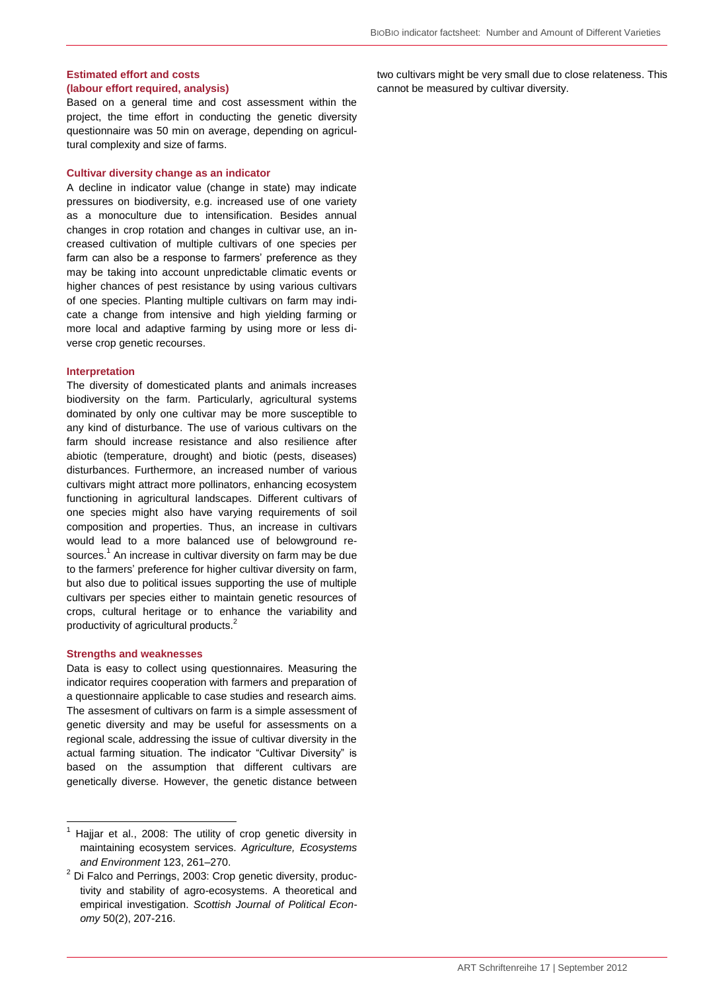### **Estimated effort and costs (labour effort required, analysis)**

Based on a general time and cost assessment within the project, the time effort in conducting the genetic diversity questionnaire was 50 min on average, depending on agricultural complexity and size of farms.

#### **Cultivar diversity change as an indicator**

A decline in indicator value (change in state) may indicate pressures on biodiversity, e.g. increased use of one variety as a monoculture due to intensification. Besides annual changes in crop rotation and changes in cultivar use, an increased cultivation of multiple cultivars of one species per farm can also be a response to farmers' preference as they may be taking into account unpredictable climatic events or higher chances of pest resistance by using various cultivars of one species. Planting multiple cultivars on farm may indicate a change from intensive and high yielding farming or more local and adaptive farming by using more or less diverse crop genetic recourses.

#### **Interpretation**

The diversity of domesticated plants and animals increases biodiversity on the farm. Particularly, agricultural systems dominated by only one cultivar may be more susceptible to any kind of disturbance. The use of various cultivars on the farm should increase resistance and also resilience after abiotic (temperature, drought) and biotic (pests, diseases) disturbances. Furthermore, an increased number of various cultivars might attract more pollinators, enhancing ecosystem functioning in agricultural landscapes. Different cultivars of one species might also have varying requirements of soil composition and properties. Thus, an increase in cultivars would lead to a more balanced use of belowground resources.<sup>1</sup> An increase in cultivar diversity on farm may be due to the farmers' preference for higher cultivar diversity on farm, but also due to political issues supporting the use of multiple cultivars per species either to maintain genetic resources of crops, cultural heritage or to enhance the variability and productivity of agricultural products.<sup>2</sup>

#### **Strengths and weaknesses**

-

Data is easy to collect using questionnaires. Measuring the indicator requires cooperation with farmers and preparation of a questionnaire applicable to case studies and research aims. The assesment of cultivars on farm is a simple assessment of genetic diversity and may be useful for assessments on a regional scale, addressing the issue of cultivar diversity in the actual farming situation. The indicator "Cultivar Diversity" is based on the assumption that different cultivars are genetically diverse. However, the genetic distance between

two cultivars might be very small due to close relateness. This cannot be measured by cultivar diversity.

 $1$  Hajjar et al., 2008: The utility of crop genetic diversity in maintaining ecosystem services. *Agriculture, Ecosystems and Environment* 123, 261–270.

 $2$  Di Falco and Perrings, 2003: Crop genetic diversity, productivity and stability of agro-ecosystems. A theoretical and empirical investigation. *Scottish Journal of Political Economy* 50(2), 207-216.